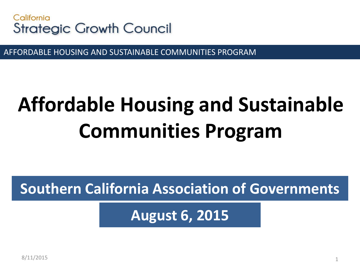

AFFORDABLE HOUSING AND SUSTAINABLE COMMUNITIES PROGRAM

# **Affordable Housing and Sustainable Communities Program**

**Southern California Association of Governments**

**August 6, 2015**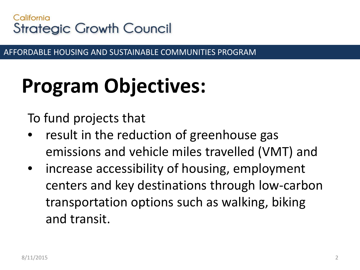AFFORDABLE HOUSING AND SUSTAINABLE COMMUNITIES PROGRAM

# **Program Objectives:**

To fund projects that

- result in the reduction of greenhouse gas emissions and vehicle miles travelled (VMT) and
- increase accessibility of housing, employment centers and key destinations through low-carbon transportation options such as walking, biking and transit.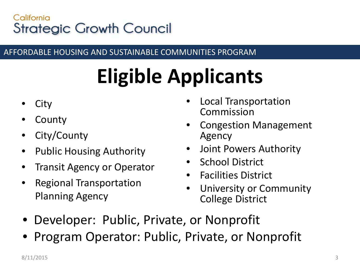#### AFFORDABLE HOUSING AND SUSTAINABLE COMMUNITIES PROGRAM

# **Eligible Applicants**

- **City**
- **County**
- City/County
- Public Housing Authority
- Transit Agency or Operator
- Regional Transportation Planning Agency
- Local Transportation Commission
- Congestion Management Agency
- Joint Powers Authority
- **School District**
- Facilities District
- University or Community College District
- Developer: Public, Private, or Nonprofit
- Program Operator: Public, Private, or Nonprofit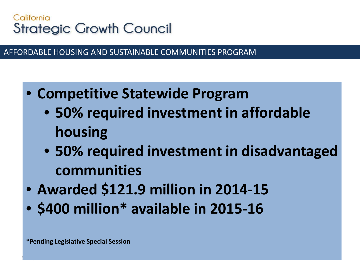AFFORDABLE HOUSING AND SUSTAINABLE COMMUNITIES PROGRAM

- **Competitive Statewide Program**
	- **50% required investment in affordable housing**
	- **50% required investment in disadvantaged communities**

4

- **Awarded \$121.9 million in 2014-15**
- **\$400 million\* available in 2015-16**

8/11/2012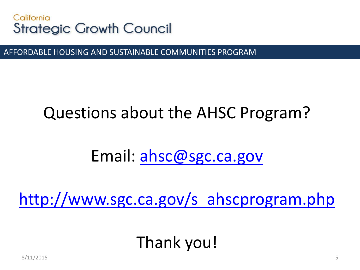

AFFORDABLE HOUSING AND SUSTAINABLE COMMUNITIES PROGRAM

### Questions about the AHSC Program?

### Email: [ahsc@sgc.ca.gov](mailto:ahsc@sgc.ca.gov)

[http://www.sgc.ca.gov/s\\_ahscprogram.php](http://www.sgc.ca.gov/s_ahscprogram.php)

### Thank you!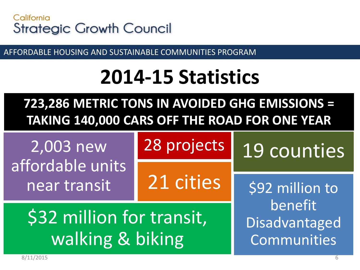

AFFORDABLE HOUSING AND SUSTAINABLE COMMUNITIES PROGRAM

## **2014-15 Statistics**

### **723,286 METRIC TONS IN AVOIDED GHG EMISSIONS = TAKING 140,000 CARS OFF THE ROAD FOR ONE YEAR**

2,003 new affordable units near transit

28 projects

21 cities

19 counties

\$92 million to benefit Disadvantaged Communities

\$32 million for transit, walking & biking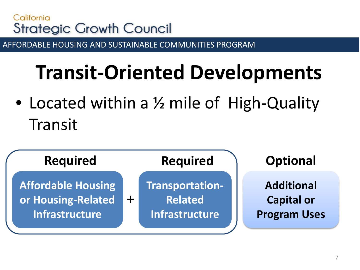AFFORDABLE HOUSING AND SUSTAINABLE COMMUNITIES PROGRAM

## **Transit-Oriented Developments**

• Located within a 1/2 mile of High-Quality Transit

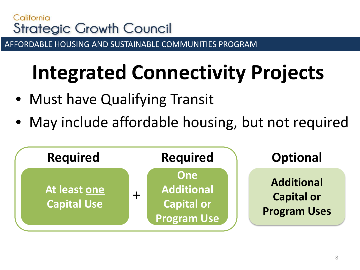AFFORDABLE HOUSING AND SUSTAINABLE COMMUNITIES PROGRAM

# **Integrated Connectivity Projects**

- Must have Qualifying Transit
- May include affordable housing, but not required

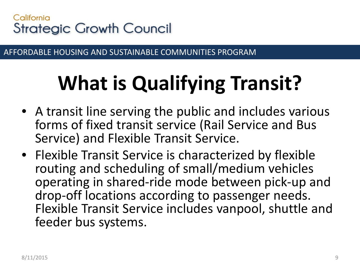AFFORDABLE HOUSING AND SUSTAINABLE COMMUNITIES PROGRAM

# **What is Qualifying Transit?**

- A transit line serving the public and includes various forms of fixed transit service (Rail Service and Bus Service) and Flexible Transit Service.
- Flexible Transit Service is characterized by flexible routing and scheduling of small/medium vehicles operating in shared-ride mode between pick-up and drop-off locations according to passenger needs. Flexible Transit Service includes vanpool, shuttle and feeder bus systems.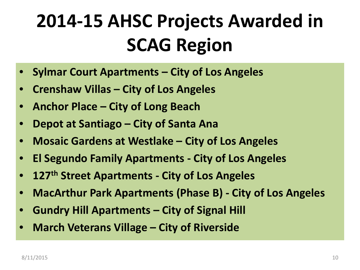## **2014-15 AHSC Projects Awarded in SCAG Region**

- **Sylmar Court Apartments – City of Los Angeles**
- **Crenshaw Villas – City of Los Angeles**
- **Anchor Place – City of Long Beach**
- **Depot at Santiago – City of Santa Ana**
- **Mosaic Gardens at Westlake – City of Los Angeles**
- **El Segundo Family Apartments - City of Los Angeles**
- **127th Street Apartments - City of Los Angeles**
- **MacArthur Park Apartments (Phase B) - City of Los Angeles**
- **Gundry Hill Apartments – City of Signal Hill**
- **March Veterans Village – City of Riverside**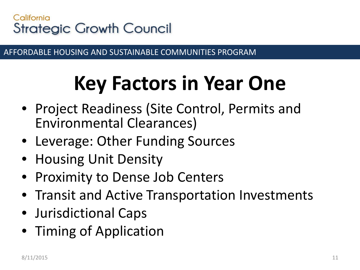AFFORDABLE HOUSING AND SUSTAINABLE COMMUNITIES PROGRAM

# **Key Factors in Year One**

- Project Readiness (Site Control, Permits and Environmental Clearances)
- Leverage: Other Funding Sources
- Housing Unit Density
- Proximity to Dense Job Centers
- Transit and Active Transportation Investments
- Jurisdictional Caps
- Timing of Application